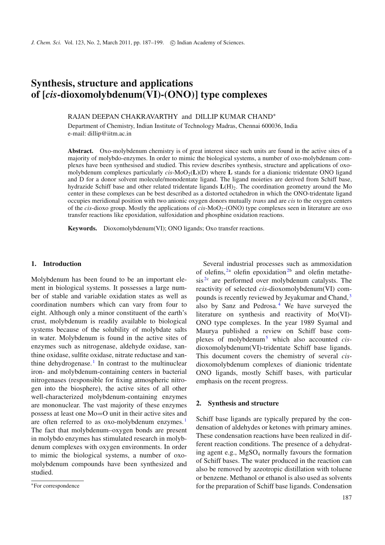# **Synthesis, structure and applications of [***cis***-dioxomolybdenum(VI)-(ONO)] type complexes**

RAJAN DEEPAN CHAKRAVARTHY and DILLIP KUMAR CHAND<sup>∗</sup>

Department of Chemistry, Indian Institute of Technology Madras, Chennai 600036, India e-mail: dillip@iitm.ac.in

**Abstract.** Oxo-molybdenum chemistry is of great interest since such units are found in the active sites of a majority of molybdo-enzymes. In order to mimic the biological systems, a number of oxo-molybdenum complexes have been synthesised and studied. This review describes synthesis, structure and applications of oxomolybdenum complexes particularly *cis*-MoO2(**L**)(D) where **L** stands for a dianionic tridentate ONO ligand and D for a donor solvent molecule/monodentate ligand. The ligand moieties are derived from Schiff base, hydrazide Schiff base and other related tridentate ligands  $L(H)$ <sub>2</sub>. The coordination geometry around the Mo center in these complexes can be best described as a distorted octahedron in which the ONO-tridentate ligand occupies meridional position with two anionic oxygen donors mutually *trans* and are *cis* to the oxygen centers of the *cis*-dioxo group. Mostly the applications of *cis*-MoO<sub>2</sub>-(ONO) type complexes seen in literature are oxo transfer reactions like epoxidation, sulfoxidation and phosphine oxidation reactions.

**Keywords.** Dioxomolybdenum(VI); ONO ligands; Oxo transfer reactions.

#### **1. Introduction**

Molybdenum has been found to be an important element in biological systems. It possesses a large number of stable and variable oxidation states as well as coordination numbers which can vary from four to eight. Although only a minor constituent of the earth's crust, molybdenum is readily available to biological systems because of the solubility of molybdate salts in water. Molybdenum is found in the active sites of enzymes such as nitrogenase, aldehyde oxidase, xanthine oxidase, sulfite oxidase, nitrate reductase and xan-thine dehydrogenase.<sup>[1](#page-11-0)</sup> In contrast to the multinuclear iron- and molybdenum-containing centers in bacterial nitrogenases (responsible for fixing atmospheric nitrogen into the biosphere), the active sites of all other well-characterized molybdenum-containing enzymes are mononuclear. The vast majority of these enzymes possess at least one Mo=O unit in their active sites and are often referred to as oxo-molybdenum enzymes.<sup>[1](#page-11-0)</sup> The fact that molybdenum–oxygen bonds are present in molybdo enzymes has stimulated research in molybdenum complexes with oxygen environments. In order to mimic the biological systems, a number of oxomolybdenum compounds have been synthesized and studied.

Several industrial processes such as ammoxidation of olefins,  $2a$  $2a$  olefin epoxidation<sup>2b</sup> and olefin metathe- $sis^{2c}$  $sis^{2c}$  $sis^{2c}$  are performed over molybdenum catalysts. The reactivity of selected *cis*-dioxomolybdenum(VI) com-pounds is recently reviewed by Jeyakumar and Chand,<sup>[3](#page-11-2)</sup> also by Sanz and Pedrosa.<sup>[4](#page-12-0)</sup> We have surveyed the literature on synthesis and reactivity of Mo(VI)- ONO type complexes. In the year 1989 Syamal and Maurya published a review on Schiff base complexes of molybdenu[m5](#page-12-1) which also accounted *cis*dioxomolybdenum(VI)-tridentate Schiff base ligands. This document covers the chemistry of several *cis*dioxomolybdenum complexes of dianionic tridentate ONO ligands, mostly Schiff bases, with particular emphasis on the recent progress.

#### **2. Synthesis and structure**

Schiff base ligands are typically prepared by the condensation of aldehydes or ketones with primary amines. These condensation reactions have been realized in different reaction conditions. The presence of a dehydrating agent e.g.,  $MgSO_4$  normally favours the formation of Schiff bases. The water produced in the reaction can also be removed by azeotropic distillation with toluene or benzene. Methanol or ethanol is also used as solvents for the preparation of Schiff base ligands. Condensation

<sup>∗</sup>For correspondence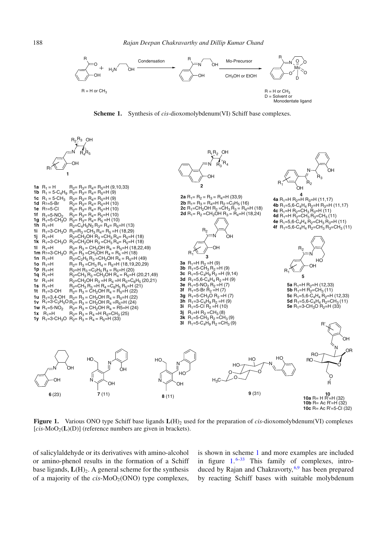<span id="page-1-0"></span>

**Scheme 1.** Synthesis of *cis*-dioxomolybdenum(VI) Schiff base complexes.



**Figure 1.** Various ONO type Schiff base ligands  $L(H)$ <sub>2</sub> used for the preparation of *cis*-dioxomolybdenum(VI) complexes  $[cis-MoO<sub>2</sub>(**L**)(**D**)]$  (reference numbers are given in brackets).

of salicylaldehyde or its derivatives with amino-alcohol or amino-phenol results in the formation of a Schiff base ligands,  $L(H)_{2}$ . A general scheme for the synthesis of a majority of the  $cis-MoO<sub>2</sub>(ONO)$  type complexes,

is shown in scheme [1](#page-1-0) and more examples are included in figure  $1.6-33$  $1.6-33$  $1.6-33$  This family of complexes, introduced by Rajan and Chakravorty,  $6.9$  $6.9$  has been prepared by reacting Schiff bases with suitable molybdenum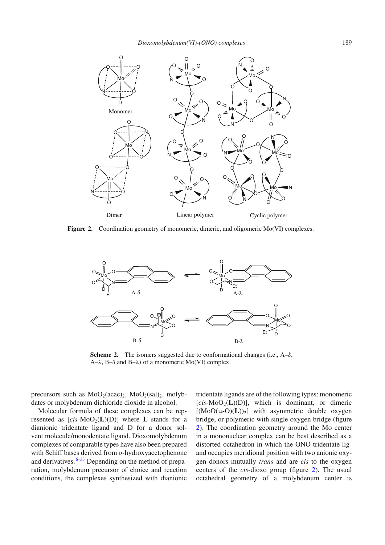<span id="page-2-0"></span>

Figure 2. Coordination geometry of monomeric, dimeric, and oligomeric Mo(VI) complexes.



**Scheme 2.** The isomers suggested due to conformational changes (i.e.,  $A-\delta$ ,  $A-\lambda$ ,  $B-\delta$  and  $B-\lambda$ ) of a monomeric Mo(VI) complex.

precursors such as  $MoO<sub>2</sub>(acac)<sub>2</sub>$ ,  $MoO<sub>2</sub>(sal)<sub>2</sub>$ , molybdates or molybdenum dichloride dioxide in alcohol.

Molecular formula of these complexes can be represented as  $[cis-MoO<sub>2</sub>(**L**)(**D**)]$  where **L** stands for a dianionic tridentate ligand and D for a donor solvent molecule/monodentate ligand. Dioxomolybdenum complexes of comparable types have also been prepared with Schiff bases derived from *o*-hydroxyacetophenone and derivatives.  $6-33$  $6-33$  Depending on the method of preparation, molybdenum precursor of choice and reaction conditions, the complexes synthesized with dianionic

tridentate ligands are of the following types: monomeric  $[cis-MoO<sub>2</sub>(**L**)(**D**)]$ , which is dominant, or dimeric  $[(MoO(\mu-O)(L))_2]$  with asymmetric double oxygen bridge, or polymeric with single oxygen bridge (figure [2\)](#page-2-0). The coordination geometry around the Mo center in a mononuclear complex can be best described as a distorted octahedron in which the ONO-tridentate ligand occupies meridional position with two anionic oxygen donors mutually *trans* and are *cis* to the oxygen centers of the *cis*-dioxo group (figure [2\)](#page-2-0). The usual octahedral geometry of a molybdenum center is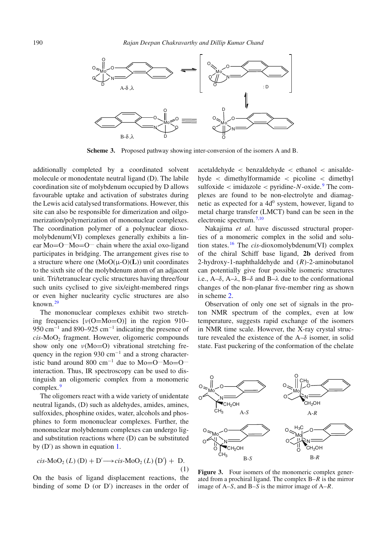<span id="page-3-1"></span>

**Scheme 3.** Proposed pathway showing inter-conversion of the isomers A and B.

additionally completed by a coordinated solvent molecule or monodentate neutral ligand (D). The labile coordination site of molybdenum occupied by D allows favourable uptake and activation of substrates during the Lewis acid catalysed transformations. However, this site can also be responsible for dimerization and oilgomerization/polymerization of mononuclear complexes. The coordination polymer of a polynuclear dioxomolybdenum(VI) complexes generally exhibits a linear  $Mo=O^{\dots}Mo=O^{\dots}$  chain where the axial oxo-ligand participates in bridging. The arrangement gives rise to a structure where one (MoO(μ-O)(**L**)) unit coordinates to the sixth site of the molybdenum atom of an adjacent unit. Tri/tetranuclear cyclic structures having three/four such units cyclised to give six/eight-membered rings or even higher nuclearity cyclic structures are also known. [29](#page-12-5)

The mononuclear complexes exhibit two stretching frequencies  $[v(O=Mo=O)]$  in the region 910– 950 cm<sup>-1</sup> and 890–925 cm<sup>-1</sup> indicating the presence of *cis-MoO*<sub>2</sub> fragment. However, oligomeric compounds show only one  $\nu$ (Mo=O) vibrational stretching frequency in the region 930 cm<sup>-1</sup> and a strong characteristic band around 800 cm<sup>-1</sup> due to Mo=O<sup>....</sup>Mo=O<sup>....</sup> interaction. Thus, IR spectroscopy can be used to distinguish an oligomeric complex from a monomeric complex.<sup>[9](#page-12-4)</sup>

The oligomers react with a wide variety of unidentate neutral ligands, (D) such as aldehydes, amides, amines, sulfoxides, phosphine oxides, water, alcohols and phosphines to form mononuclear complexes. Further, the mononuclear molybdenum complexes can undergo ligand substitution reactions where (D) can be substituted by (D') as shown in equation [1.](#page-3-0)

<span id="page-3-0"></span>
$$
cis-MoO2(L) (D) + D' \rightarrow cis-MoO2(L) (D') + D.
$$
\n(1)

On the basis of ligand displacement reactions, the binding of some D (or D ) increases in the order of

acetaldehyde < benzaldehyde < ethanol < anisaldehyde < dimethylformamide < picoline < dimethyl sulfoxide  $\lt$  imidazole  $\lt$  pyridine-*N*-oxide.<sup>[9](#page-12-4)</sup> The complexes are found to be non-electrolyte and diamagnetic as expected for a  $4d<sup>0</sup>$  system, however, ligand to metal charge transfer (LMCT) band can be seen in the electronic spectrum. [7](#page-12-6)[,10](#page-12-7)

Nakajima *et al.* have discussed structural properties of a monomeric complex in the solid and solution states. [16](#page-12-8) The *cis*-dioxomolybdenum(VI) complex of the chiral Schiff base ligand, **2b** derived from 2-hydroxy-1-naphthaldehyde and (*R*)-2-aminobutanol can potentially give four possible isomeric structures i.e.,  $A-\delta$ ,  $A-\lambda$ ,  $B-\delta$  and  $B-\lambda$  due to the conformational changes of the non-planar five-member ring as shown in scheme [2.](#page-2-0)

Observation of only one set of signals in the proton NMR spectrum of the complex, even at low temperature, suggests rapid exchange of the isomers in NMR time scale. However, the X-ray crystal structure revealed the existence of the  $A-\delta$  isomer, in solid state. Fast puckering of the conformation of the chelate



**Figure 3.** Four isomers of the monomeric complex generated from a prochiral ligand. The complex B–*R* is the mirror image of A–*S*, and B–*S* is the mirror image of A–*R*.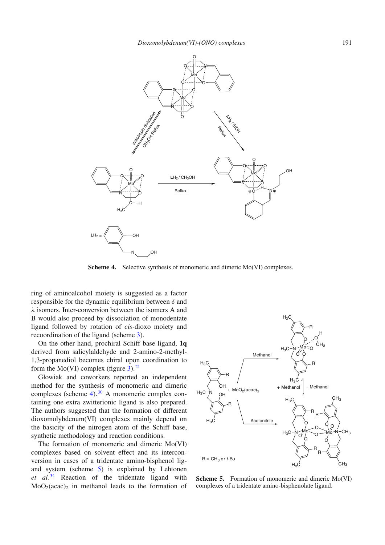<span id="page-4-0"></span>

**Scheme 4.** Selective synthesis of monomeric and dimeric Mo(VI) complexes.

ring of aminoalcohol moiety is suggested as a factor responsible for the dynamic equilibrium between  $\delta$  and λ isomers. Inter-conversion between the isomers A and B would also proceed by dissociation of monodentate ligand followed by rotation of *cis-*dioxo moiety and recoordination of the ligand (scheme [3\)](#page-3-1).

On the other hand, prochiral Schiff base ligand, **1q** derived from salicylaldehyde and 2-amino-2-methyl-1,3-propanediol becomes chiral upon coordination to form the Mo(VI) complex (figure  $3$ ).<sup>[21](#page-12-9)</sup>

Głowiak and coworkers reported an independent method for the synthesis of monomeric and dimeric complexes (scheme [4\)](#page-4-0). [30](#page-12-10) A monomeric complex containing one extra zwitterionic ligand is also prepared. The authors suggested that the formation of different dioxomolybdenum(VI) complexes mainly depend on the basicity of the nitrogen atom of the Schiff base, synthetic methodology and reaction conditions.

The formation of monomeric and dimeric Mo(VI) complexes based on solvent effect and its interconversion in cases of a tridentate amino-bisphenol ligand system (scheme [5\)](#page-4-1) is explained by Lehtonen *et al.* [34](#page-12-11) Reaction of the tridentate ligand with  $MoO<sub>2</sub>(acac)$ <sub>2</sub> in methanol leads to the formation of

<span id="page-4-1"></span>

**Scheme 5.** Formation of monomeric and dimeric Mo(VI) complexes of a tridentate amino-bisphenolate ligand.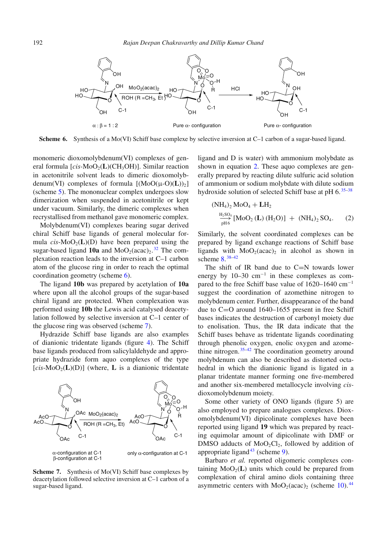<span id="page-5-0"></span>

**Scheme 6.** Synthesis of a Mo(VI) Schiff base complexe by selective inversion at C–1 carbon of a sugar-based ligand.

monomeric dioxomolybdenum(VI) complexes of general formula  $[cis-MoO<sub>2</sub>(L)(CH<sub>3</sub>OH)]$ . Similar reaction in acetonitrile solvent leads to dimeric dioxomolybdenum(VI) complexes of formula  $[(MoO(\mu-O)(L))_{2}]$ (scheme [5\)](#page-4-1). The mononuclear complex undergoes slow dimerization when suspended in acetonitrile or kept under vacuum. Similarly, the dimeric complexes when recrystallised from methanol gave monomeric complex.

Molybdenum(VI) complexes bearing sugar derived chiral Schiff base ligands of general molecular formula  $cis-MoO<sub>2</sub>(L)(D)$  have been prepared using the sugar-based ligand  $10a$  and  $MoO<sub>2</sub>(acac)<sub>2</sub>$ .<sup>[32](#page-12-12)</sup> The complexation reaction leads to the inversion at C–1 carbon atom of the glucose ring in order to reach the optimal coordination geometry (scheme [6\)](#page-5-0).

The ligand **10b** was prepared by acetylation of **10a** where upon all the alcohol groups of the sugar-based chiral ligand are protected. When complexation was performed using **10b** the Lewis acid catalysed deacetylation followed by selective inversion at C–1 center of the glucose ring was observed (scheme [7\)](#page-5-1).

Hydrazide Schiff base ligands are also examples of dianionic tridentate ligands (figure [4\)](#page-4-0). The Schiff base ligands produced from salicylaldehyde and appropriate hydrazide form aquo complexes of the type  $[cis-MoO<sub>2</sub>(**L**)(**D**)]$  (where, **L** is a dianionic tridentate

<span id="page-5-1"></span>

**Scheme 7.** Synthesis of Mo(VI) Schiff base complexes by deacetylation followed selective inversion at C–1 carbon of a sugar-based ligand.

ligand and D is water) with ammonium molybdate as shown in equation [2.](#page-5-2) These aquo complexes are generally prepared by reacting dilute sulfuric acid solution of ammonium or sodium molybdate with dilute sodium hydroxide solution of selected Schiff base at pH 6.<sup>[35](#page-12-13)[–38](#page-12-14)</sup>

<span id="page-5-2"></span>
$$
(NH_4)_2 \text{ MoO}_4 + LH_2
$$
  

$$
\frac{H_2SO_4}{pH6} [\text{MoO}_2 (\text{L}) (H_2O)] + (NH_4)_2 SO_4.
$$
 (2)

Similarly, the solvent coordinated complexes can be prepared by ligand exchange reactions of Schiff base ligands with  $MoO<sub>2</sub>(acac)<sub>2</sub>$  in alcohol as shown in scheme [8.](#page-6-0) [38](#page-12-14)[–42](#page-12-15)

The shift of IR band due to  $C=N$  towards lower energy by 10–30 cm<sup>−</sup><sup>1</sup> in these complexes as compared to the free Schiff base value of 1620–1640 cm<sup>−</sup><sup>1</sup> suggest the coordination of azomethine nitrogen to molybdenum center. Further, disappearance of the band due to C=O around 1640–1655 present in free Schiff bases indicates the destruction of carbonyl moiety due to enolisation. Thus, the IR data indicate that the Schiff bases behave as tridentate ligands coordinating through phenolic oxygen, enolic oxygen and azomethine nitrogen.  $35-42$  $35-42$  The coordination geometry around molybdenum can also be described as distorted octahedral in which the dianionic ligand is ligated in a planar tridentate manner forming one five-membered and another six-membered metallocycle involving *cis*dioxomolybdenum moiety.

Some other variety of ONO ligands (figure 5) are also employed to prepare analogues complexes. Dioxomolybdenum(VI) dipicolinate complexes have been reported using ligand **19** which was prepared by reacting equimolar amount of dipicolinate with DMF or DMSO adducts of  $MoO<sub>2</sub>Cl<sub>2</sub>$ , followed by addition of appropriate ligand<sup>[43](#page-12-16)</sup> (scheme  $9$ ).

Barbaro *et al.* reported oligomeric complexes containing  $MoO<sub>2</sub>(**L**)$  units which could be prepared from complexation of chiral amino diols containing three asymmetric centers with  $MoO<sub>2</sub>(acac)<sub>2</sub>$  (scheme [10\)](#page-7-1).<sup>[44](#page-12-17)</sup>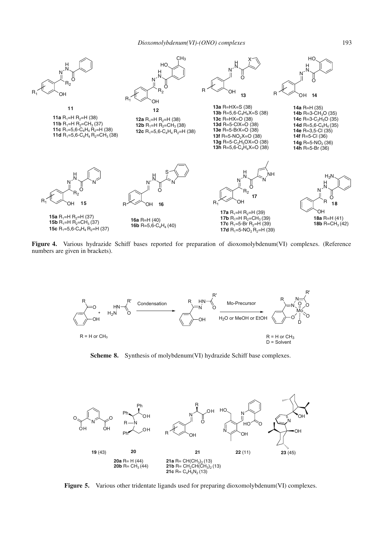

Figure 4. Various hydrazide Schiff bases reported for preparation of dioxomolybdenum(VI) complexes. (Reference numbers are given in brackets).

<span id="page-6-0"></span>

**Scheme 8.** Synthesis of molybdenum(VI) hydrazide Schiff base complexes.



**Figure 5.** Various other tridentate ligands used for preparing dioxomolybdenum(VI) complexes.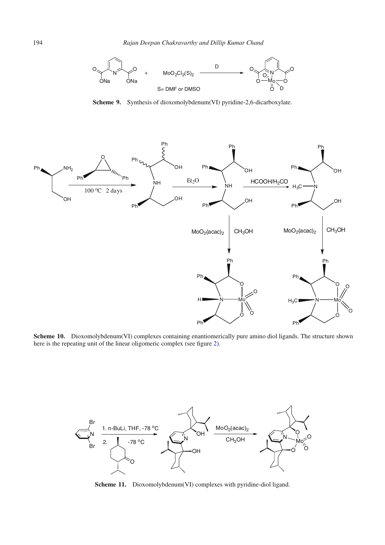<span id="page-7-0"></span>

**Scheme 9.** Synthesis of dioxomolybdenum(VI) pyridine-2,6-dicarboxylate.

<span id="page-7-1"></span>

**Scheme 10.** Dioxomolybdenum(VI) complexes containing enantiomerically pure amino diol ligands. The structure shown here is the repeating unit of the linear oligomeric complex (see figure [2\)](#page-2-0).

<span id="page-7-2"></span>

Scheme 11. Dioxomolybdenum(VI) complexes with pyridine-diol ligand.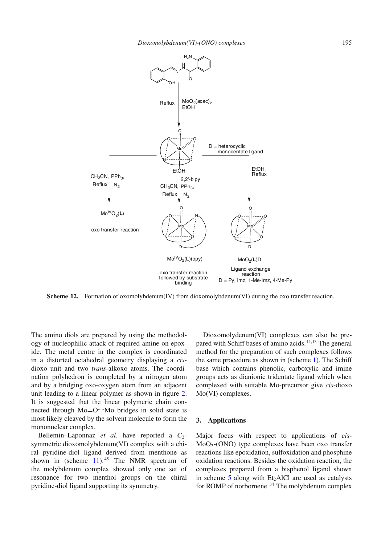<span id="page-8-0"></span>

**Scheme 12.** Formation of oxomolybdenum(IV) from dioxomolybdenum(VI) during the oxo transfer reaction.

The amino diols are prepared by using the methodology of nucleophilic attack of required amine on epoxide. The metal centre in the complex is coordinated in a distorted octahedral geometry displaying a *cis*dioxo unit and two *trans-*alkoxo atoms. The coordination polyhedron is completed by a nitrogen atom and by a bridging oxo-oxygen atom from an adjacent unit leading to a linear polymer as shown in figure [2.](#page-2-0) It is suggested that the linear polymeric chain connected through  $Mo=O^{...}Mo$  bridges in solid state is most likely cleaved by the solvent molecule to form the mononuclear complex.

Bellemin–Laponnaz *et al.* have reported a  $C_2$ symmetric dioxomolybdenum(VI) complex with a chiral pyridine-diol ligand derived from menthone as shown in (scheme  $11$ ).<sup>[45](#page-12-18)</sup> The NMR spectrum of the molybdenum complex showed only one set of resonance for two menthol groups on the chiral pyridine-diol ligand supporting its symmetry.

Dioxomolydenum(VI) complexes can also be pre-pared with Schiff bases of amino acids. <sup>[11](#page-12-19)[,13](#page-12-20)</sup> The general method for the preparation of such complexes follows the same procedure as shown in (scheme [1\)](#page-1-0). The Schiff base which contains phenolic, carboxylic and imine groups acts as dianionic tridentate ligand which when complexed with suitable Mo-precursor give *cis*-dioxo Mo(VI) complexes.

## **3. Applications**

Major focus with respect to applications of *cis*-MoO2-(ONO) type complexes have been oxo transfer reactions like epoxidation, sulfoxidation and phosphine oxidation reactions. Besides the oxidation reaction, the complexes prepared from a bisphenol ligand shown in scheme  $5$  along with Et<sub>2</sub>AlCl are used as catalysts for ROMP of norbornene. [34](#page-12-11) The molybdenum complex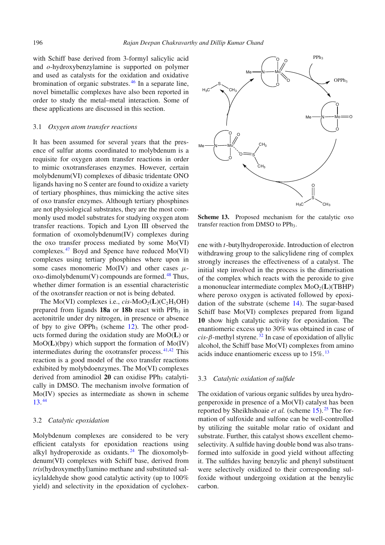with Schiff base derived from 3-formyl salicylic acid and *o*-hydroxybenzylamine is supported on polymer and used as catalysts for the oxidation and oxidative bromination of organic substrates. [46](#page-12-21) In a separate line, novel bimetallic complexes have also been reported in order to study the metal–metal interaction. Some of these applications are discussed in this section.

#### 3.1 *Oxygen atom transfer reactions*

It has been assumed for several years that the presence of sulfur atoms coordinated to molybdenum is a requisite for oxygen atom transfer reactions in order to mimic oxotransferases enzymes. However, certain molybdenum(VI) complexes of dibasic tridentate ONO ligands having no S center are found to oxidize a variety of tertiary phosphines, thus mimicking the active sites of oxo transfer enzymes. Although tertiary phosphines are not physiological substrates, they are the most commonly used model substrates for studying oxygen atom transfer reactions. Topich and Lyon III observed the formation of oxomolybdenum(IV) complexes during the oxo transfer process mediated by some Mo(VI) complexes. [47](#page-12-22) Boyd and Spence have reduced Mo(VI) complexes using tertiary phosphines where upon in some cases monomeric Mo(IV) and other cases  $\mu$ oxo-dimolybdenum $(V)$  compounds are formed.<sup>[48](#page-12-23)</sup> Thus, whether dimer formation is an essential characteristic of the oxotransfer reaction or not is being debated.

The Mo(VI) complexes i.e.,  $cis-MoO<sub>2</sub>(L)(C<sub>2</sub>H<sub>5</sub>OH)$ prepared from ligands 18a or 18b react with PPh<sub>3</sub> in acetonitrile under dry nitrogen, in presence or absence of bpy to give OPPh<sub>3</sub> (scheme  $12$ ). The other products formed during the oxidation study are MoO(**L**) or MoO(**L**)(bpy) which support the formation of Mo(IV) intermediates during the oxotransfer process. [41](#page-12-24)[,42](#page-12-15) This reaction is a good model of the oxo transfer reactions exhibited by molybdoenzymes. The Mo(VI) complexes derived from aminodiol 20 can oxidise PPh<sub>3</sub> catalytically in DMSO. The mechanism involve formation of Mo(IV) species as intermediate as shown in scheme [13.](#page-9-0) [44](#page-12-17)

## 3.2 *Catalytic epoxidation*

Molybdenum complexes are considered to be very efficient catalysts for epoxidation reactions using alkyl hydroperoxide as oxidants. $24$  The dioxomolybdenum(VI) complexes with Schiff base, derived from *tris*(hydroxymethyl)amino methane and substituted salicylaldehyde show good catalytic activity (up to 100% yield) and selectivity in the epoxidation of cyclohex-

<span id="page-9-0"></span>

**Scheme 13.** Proposed mechanism for the catalytic oxo transfer reaction from DMSO to PPh<sub>3</sub>.

ene with *t*-butylhydroperoxide. Introduction of electron withdrawing group to the salicylidene ring of complex strongly increases the effectiveness of a catalyst. The initial step involved in the process is the dimerisation of the complex which reacts with the peroxide to give a mononuclear intermediate complex  $MoO<sub>2</sub>(L)(TBHP)$ where peroxo oxygen is activated followed by epoxidation of the substrate (scheme [14\)](#page-10-0). The sugar-based Schiff base Mo(VI) complexes prepared from ligand **10** show high catalytic activity for epoxidation. The enantiomeric excess up to 30% was obtained in case of  $cis$ - $\beta$ -methyl styrene.<sup>[32](#page-12-12)</sup> In case of epoxidation of allylic alcohol, the Schiff base Mo(VI) complexes from amino acids induce enantiomeric excess up to 15%. [13](#page-12-20)

## 3.3 *Catalytic oxidation of sulfide*

The oxidation of various organic sulfides by urea hydrogenperoxide in presence of a Mo(VI) catalyst has been reported by Sheikhshoaie *et al.* (scheme [15\)](#page-10-1). [25](#page-12-26) The formation of sulfoxide and sulfone can be well-controlled by utilizing the suitable molar ratio of oxidant and substrate. Further, this catalyst shows excellent chemoselectivity. A sulfide having double bond was also transformed into sulfoxide in good yield without affecting it. The sulfides having benzylic and phenyl substituent were selectively oxidized to their corresponding sulfoxide without undergoing oxidation at the benzylic carbon.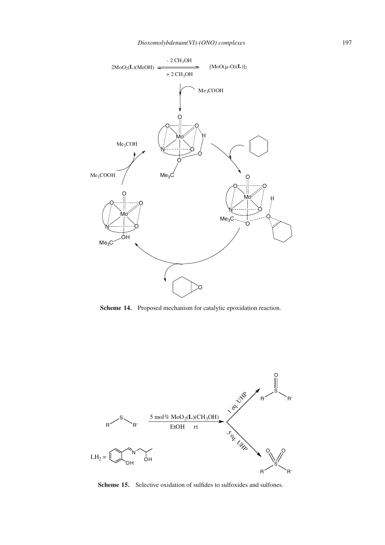<span id="page-10-0"></span>

**Scheme 14.** Proposed mechanism for catalytic epoxidation reaction.

<span id="page-10-1"></span>

Scheme 15. Selective oxidation of sulfides to sulfoxides and sulfones.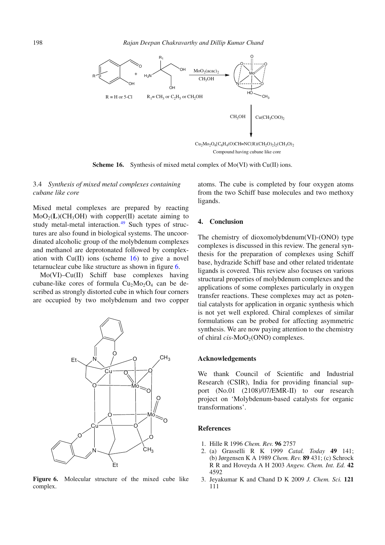<span id="page-11-3"></span>

**Scheme 16.** Synthesis of mixed metal complex of Mo(VI) with Cu(II) ions.

## 3.4 *Synthesis of mixed metal complexes containing cubane like core*

Mixed metal complexes are prepared by reacting  $MoO<sub>2</sub>(L)(CH<sub>3</sub>OH)$  with copper(II) acetate aiming to study metal-metal interaction. $49$  Such types of structures are also found in biological systems. The uncoordinated alcoholic group of the molybdenum complexes and methanol are deprotonated followed by complexation with  $Cu(II)$  ions (scheme [16\)](#page-11-3) to give a novel tetarnuclear cube like structure as shown in figure [6.](#page-5-0)

Mo(VI)–Cu(II) Schiff base complexes having cubane-like cores of formula  $Cu<sub>2</sub>Mo<sub>2</sub>O<sub>4</sub>$  can be described as strongly distorted cube in which four corners are occupied by two molybdenum and two copper



**Figure 6.** Molecular structure of the mixed cube like complex.

atoms. The cube is completed by four oxygen atoms from the two Schiff base molecules and two methoxy ligands.

#### **4. Conclusion**

The chemistry of dioxomolybdenum(VI)-(ONO) type complexes is discussed in this review. The general synthesis for the preparation of complexes using Schiff base, hydrazide Schiff base and other related tridentate ligands is covered. This review also focuses on various structural properties of molybdenum complexes and the applications of some complexes particularly in oxygen transfer reactions. These complexes may act as potential catalysts for application in organic synthesis which is not yet well explored. Chiral complexes of similar formulations can be probed for affecting asymmetric synthesis. We are now paying attention to the chemistry of chiral *cis*-MoO<sub>2</sub>(ONO) complexes.

#### **Acknowledgements**

We thank Council of Scientific and Industrial Research (CSIR), India for providing financial support (No.01 (2108)/07/EMR-II) to our research project on 'Molybdenum-based catalysts for organic transformations'.

#### **References**

- <span id="page-11-0"></span>1. Hille R 1996 *Chem. Rev.* **96** 2757
- <span id="page-11-1"></span>2. (a) Grasselli R K 1999 *Catal. Today* **49** 141; (b) Jørgensen K A 1989 *Chem. Rev.* **89** 431; (c) Schrock R R and Hoveyda A H 2003 *Angew. Chem. Int. Ed.* **42** 4592
- <span id="page-11-2"></span>3. Jeyakumar K and Chand D K 2009 *J. Chem. Sci.* **121** 111